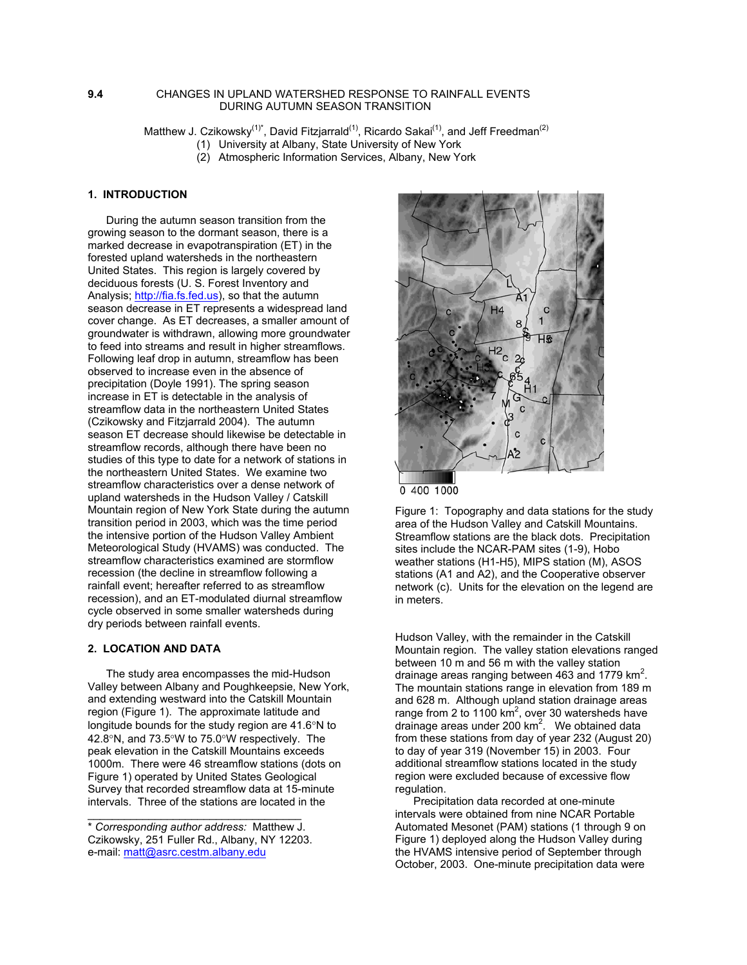## **9.4** CHANGES IN UPLAND WATERSHED RESPONSE TO RAINFALL EVENTS DURING AUTUMN SEASON TRANSITION

Matthew J. Czikowsky<sup>(1)\*</sup>, David Fitzjarrald<sup>(1)</sup>, Ricardo Sakai<sup>(1)</sup>, and Jeff Freedman<sup>(2)</sup>

(1) University at Albany, State University of New York

(2) Atmospheric Information Services, Albany, New York

# **1. INTRODUCTION**

 During the autumn season transition from the growing season to the dormant season, there is a marked decrease in evapotranspiration (ET) in the forested upland watersheds in the northeastern United States. This region is largely covered by deciduous forests (U. S. Forest Inventory and Analysis; [http://fia.fs.fed.us](http://fia.fs.fed.us/)), so that the autumn season decrease in ET represents a widespread land cover change. As ET decreases, a smaller amount of groundwater is withdrawn, allowing more groundwater to feed into streams and result in higher streamflows. Following leaf drop in autumn, streamflow has been observed to increase even in the absence of precipitation (Doyle 1991). The spring season increase in ET is detectable in the analysis of streamflow data in the northeastern United States (Czikowsky and Fitzjarrald 2004). The autumn season ET decrease should likewise be detectable in streamflow records, although there have been no studies of this type to date for a network of stations in the northeastern United States. We examine two streamflow characteristics over a dense network of upland watersheds in the Hudson Valley / Catskill Mountain region of New York State during the autumn transition period in 2003, which was the time period the intensive portion of the Hudson Valley Ambient Meteorological Study (HVAMS) was conducted. The streamflow characteristics examined are stormflow recession (the decline in streamflow following a rainfall event; hereafter referred to as streamflow recession), and an ET-modulated diurnal streamflow cycle observed in some smaller watersheds during dry periods between rainfall events.

## **2. LOCATION AND DATA**

 The study area encompasses the mid-Hudson Valley between Albany and Poughkeepsie, New York, and extending westward into the Catskill Mountain region (Figure 1). The approximate latitude and longitude bounds for the study region are 41.6°N to 42.8°N, and 73.5°W to 75.0°W respectively. The peak elevation in the Catskill Mountains exceeds 1000m. There were 46 streamflow stations (dots on Figure 1) operated by United States Geological Survey that recorded streamflow data at 15-minute intervals. Three of the stations are located in the

\_\_\_\_\_\_\_\_\_\_\_\_\_\_\_\_\_\_\_\_\_\_\_\_\_\_\_\_\_\_\_\_\_\_\_





Figure 1: Topography and data stations for the study area of the Hudson Valley and Catskill Mountains. Streamflow stations are the black dots. Precipitation sites include the NCAR-PAM sites (1-9), Hobo weather stations (H1-H5), MIPS station (M), ASOS stations (A1 and A2), and the Cooperative observer network (c). Units for the elevation on the legend are in meters.

Hudson Valley, with the remainder in the Catskill Mountain region. The valley station elevations ranged between 10 m and 56 m with the valley station drainage areas ranging between 463 and 1779  $\text{km}^2$ . The mountain stations range in elevation from 189 m and 628 m. Although upland station drainage areas range from 2 to 1100  $km^2$ , over 30 watersheds have drainage areas under 200 km<sup>2</sup>. We obtained data from these stations from day of year 232 (August 20) to day of year 319 (November 15) in 2003. Four additional streamflow stations located in the study region were excluded because of excessive flow regulation.

 Precipitation data recorded at one-minute intervals were obtained from nine NCAR Portable Automated Mesonet (PAM) stations (1 through 9 on Figure 1) deployed along the Hudson Valley during the HVAMS intensive period of September through October, 2003. One-minute precipitation data were

<sup>\*</sup> *Corresponding author address:* Matthew J. Czikowsky, 251 Fuller Rd., Albany, NY 12203. e-mail: [matt@asrc.cestm.albany.edu](mailto:matt@asrc.cestm.albany.edu)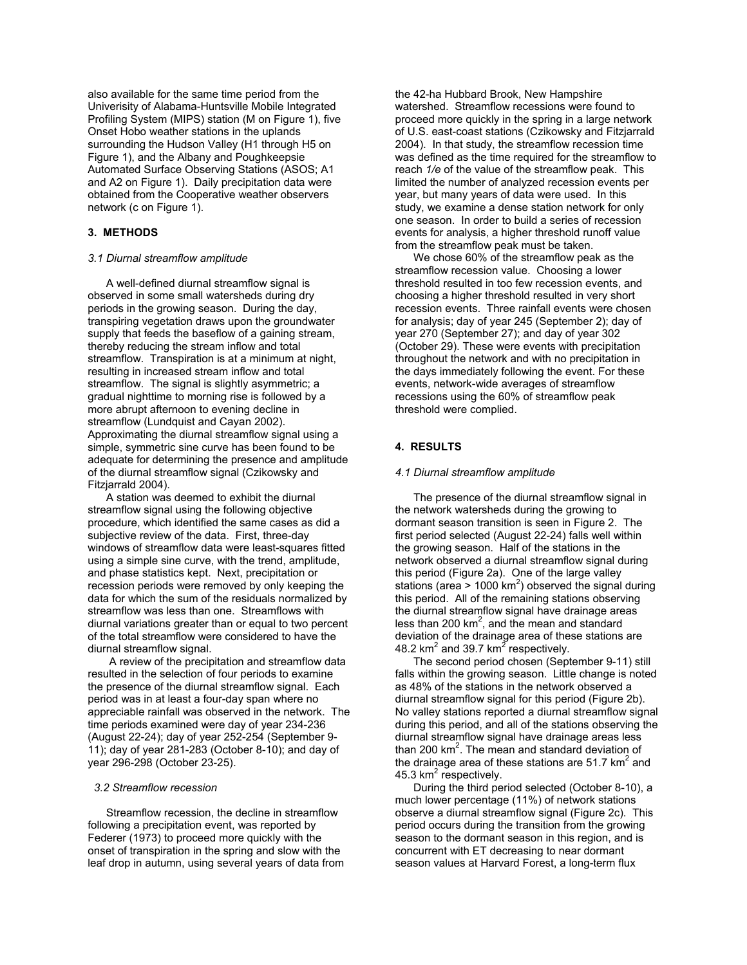also available for the same time period from the Univerisity of Alabama-Huntsville Mobile Integrated Profiling System (MIPS) station (M on Figure 1), five Onset Hobo weather stations in the uplands surrounding the Hudson Valley (H1 through H5 on Figure 1), and the Albany and Poughkeepsie Automated Surface Observing Stations (ASOS; A1 and A2 on Figure 1). Daily precipitation data were obtained from the Cooperative weather observers network (c on Figure 1).

## **3. METHODS**

### *3.1 Diurnal streamflow amplitude*

 A well-defined diurnal streamflow signal is observed in some small watersheds during dry periods in the growing season. During the day, transpiring vegetation draws upon the groundwater supply that feeds the baseflow of a gaining stream, thereby reducing the stream inflow and total streamflow. Transpiration is at a minimum at night, resulting in increased stream inflow and total streamflow. The signal is slightly asymmetric; a gradual nighttime to morning rise is followed by a more abrupt afternoon to evening decline in streamflow (Lundquist and Cayan 2002). Approximating the diurnal streamflow signal using a simple, symmetric sine curve has been found to be adequate for determining the presence and amplitude of the diurnal streamflow signal (Czikowsky and Fitzjarrald 2004).

 A station was deemed to exhibit the diurnal streamflow signal using the following objective procedure, which identified the same cases as did a subjective review of the data. First, three-day windows of streamflow data were least-squares fitted using a simple sine curve, with the trend, amplitude, and phase statistics kept. Next, precipitation or recession periods were removed by only keeping the data for which the sum of the residuals normalized by streamflow was less than one. Streamflows with diurnal variations greater than or equal to two percent of the total streamflow were considered to have the diurnal streamflow signal.

 A review of the precipitation and streamflow data resulted in the selection of four periods to examine the presence of the diurnal streamflow signal. Each period was in at least a four-day span where no appreciable rainfall was observed in the network. The time periods examined were day of year 234-236 (August 22-24); day of year 252-254 (September 9- 11); day of year 281-283 (October 8-10); and day of year 296-298 (October 23-25).

#### *3.2 Streamflow recession*

 Streamflow recession, the decline in streamflow following a precipitation event, was reported by Federer (1973) to proceed more quickly with the onset of transpiration in the spring and slow with the leaf drop in autumn, using several years of data from the 42-ha Hubbard Brook, New Hampshire watershed. Streamflow recessions were found to proceed more quickly in the spring in a large network of U.S. east-coast stations (Czikowsky and Fitzjarrald 2004). In that study, the streamflow recession time was defined as the time required for the streamflow to reach *1/e* of the value of the streamflow peak. This limited the number of analyzed recession events per year, but many years of data were used. In this study, we examine a dense station network for only one season. In order to build a series of recession events for analysis, a higher threshold runoff value from the streamflow peak must be taken.

 We chose 60% of the streamflow peak as the streamflow recession value. Choosing a lower threshold resulted in too few recession events, and choosing a higher threshold resulted in very short recession events. Three rainfall events were chosen for analysis; day of year 245 (September 2); day of year 270 (September 27); and day of year 302 (October 29). These were events with precipitation throughout the network and with no precipitation in the days immediately following the event. For these events, network-wide averages of streamflow recessions using the 60% of streamflow peak threshold were complied.

### **4. RESULTS**

#### *4.1 Diurnal streamflow amplitude*

 The presence of the diurnal streamflow signal in the network watersheds during the growing to dormant season transition is seen in Figure 2. The first period selected (August 22-24) falls well within the growing season. Half of the stations in the network observed a diurnal streamflow signal during this period (Figure 2a). One of the large valley stations (area > 1000 km<sup>2</sup>) observed the signal during this period. All of the remaining stations observing the diurnal streamflow signal have drainage areas less than 200  $km^2$ , and the mean and standard deviation of the drainage area of these stations are 48.2 km<sup>2</sup> and 39.7 km<sup>2</sup> respectively.

 The second period chosen (September 9-11) still falls within the growing season. Little change is noted as 48% of the stations in the network observed a diurnal streamflow signal for this period (Figure 2b). No valley stations reported a diurnal streamflow signal during this period, and all of the stations observing the diurnal streamflow signal have drainage areas less than 200 km<sup>2</sup>. The mean and standard deviation of the drainage area of these stations are 51.7 km<sup>2</sup> and 45.3 km<sup>2</sup> respectively.

 During the third period selected (October 8-10), a much lower percentage (11%) of network stations observe a diurnal streamflow signal (Figure 2c). This period occurs during the transition from the growing season to the dormant season in this region, and is concurrent with ET decreasing to near dormant season values at Harvard Forest, a long-term flux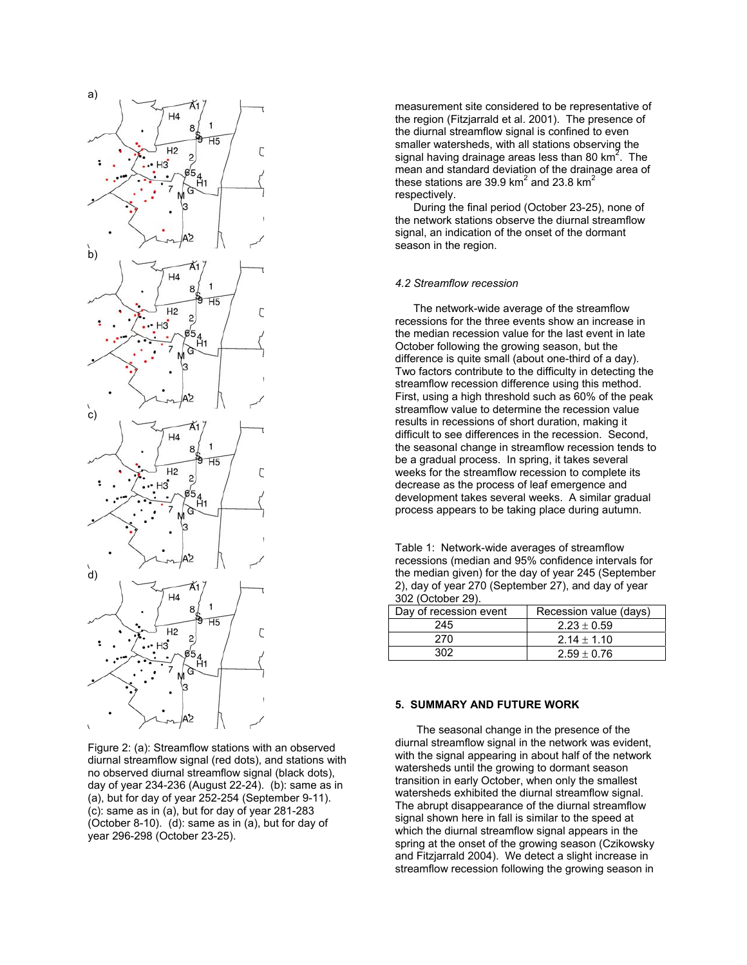

Figure 2: (a): Streamflow stations with an observed diurnal streamflow signal (red dots), and stations with no observed diurnal streamflow signal (black dots), day of year 234-236 (August 22-24). (b): same as in (a), but for day of year 252-254 (September 9-11). (c): same as in (a), but for day of year 281-283 (October 8-10). (d): same as in (a), but for day of year 296-298 (October 23-25).

measurement site considered to be representative of the region (Fitzjarrald et al. 2001). The presence of the diurnal streamflow signal is confined to even smaller watersheds, with all stations observing the signal having drainage areas less than 80  $km^2$ . The mean and standard deviation of the drainage area of these stations are 39.9 km $^2$  and 23.8 km $^2$ respectively.

 During the final period (October 23-25), none of the network stations observe the diurnal streamflow signal, an indication of the onset of the dormant season in the region.

### *4.2 Streamflow recession*

 The network-wide average of the streamflow recessions for the three events show an increase in the median recession value for the last event in late October following the growing season, but the difference is quite small (about one-third of a day). Two factors contribute to the difficulty in detecting the streamflow recession difference using this method. First, using a high threshold such as 60% of the peak streamflow value to determine the recession value results in recessions of short duration, making it difficult to see differences in the recession. Second, the seasonal change in streamflow recession tends to be a gradual process. In spring, it takes several weeks for the streamflow recession to complete its decrease as the process of leaf emergence and development takes several weeks. A similar gradual process appears to be taking place during autumn.

Table 1: Network-wide averages of streamflow recessions (median and 95% confidence intervals for the median given) for the day of year 245 (September 2), day of year 270 (September 27), and day of year 302 (October 29).

| Day of recession event | Recession value (days) |
|------------------------|------------------------|
| 245                    | $2.23 \pm 0.59$        |
| 270                    | $2.14 \pm 1.10$        |
| วกว                    | $2.59 \pm 0.76$        |

### **5. SUMMARY AND FUTURE WORK**

The seasonal change in the presence of the diurnal streamflow signal in the network was evident, with the signal appearing in about half of the network watersheds until the growing to dormant season transition in early October, when only the smallest watersheds exhibited the diurnal streamflow signal. The abrupt disappearance of the diurnal streamflow signal shown here in fall is similar to the speed at which the diurnal streamflow signal appears in the spring at the onset of the growing season (Czikowsky and Fitzjarrald 2004). We detect a slight increase in streamflow recession following the growing season in